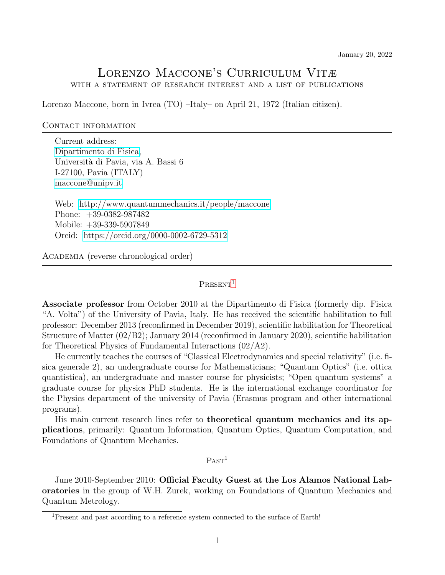# Lorenzo Maccone's Curriculum Vitæ

WITH A STATEMENT OF RESEARCH INTEREST AND A LIST OF PUBLICATIONS

Lorenzo Maccone, born in Ivrea (TO) –Italy– on April 21, 1972 (Italian citizen).

# CONTACT INFORMATION

Current address: [Dipartimento di Fisica,](http://fisica.unipv.it) Università di Pavia, via A. Bassi 6 I-27100, Pavia (ITALY) [maccone@unipv.it](mailto:maccone@unipv.it)

Web:<http://www.quantummechanics.it/people/maccone> Phone: +39-0382-987482 Mobile: +39-339-5907849 Orcid:<https://orcid.org/0000-0002-6729-5312>

Academia (reverse chronological order)

# $P$ RESENT<sup>[1](#page-0-0)</sup>

Associate professor from October 2010 at the Dipartimento di Fisica (formerly dip. Fisica "A. Volta") of the University of Pavia, Italy. He has received the scientific habilitation to full professor: December 2013 (reconfirmed in December 2019), scientific habilitation for Theoretical Structure of Matter (02/B2); January 2014 (reconfirmed in January 2020), scientific habilitation for Theoretical Physics of Fundamental Interactions (02/A2).

He currently teaches the courses of "Classical Electrodynamics and special relativity" (i.e. fisica generale 2), an undergraduate course for Mathematicians; "Quantum Optics" (i.e. ottica quantistica), an undergraduate and master course for physicists; "Open quantum systems" a graduate course for physics PhD students. He is the international exchange coordinator for the Physics department of the university of Pavia (Erasmus program and other international programs).

His main current research lines refer to theoretical quantum mechanics and its applications, primarily: Quantum Information, Quantum Optics, Quantum Computation, and Foundations of Quantum Mechanics.

 $PAST<sup>1</sup>$ 

June 2010-September 2010: Official Faculty Guest at the Los Alamos National Laboratories in the group of W.H. Zurek, working on Foundations of Quantum Mechanics and Quantum Metrology.

<span id="page-0-0"></span><sup>&</sup>lt;sup>1</sup>Present and past according to a reference system connected to the surface of Earth!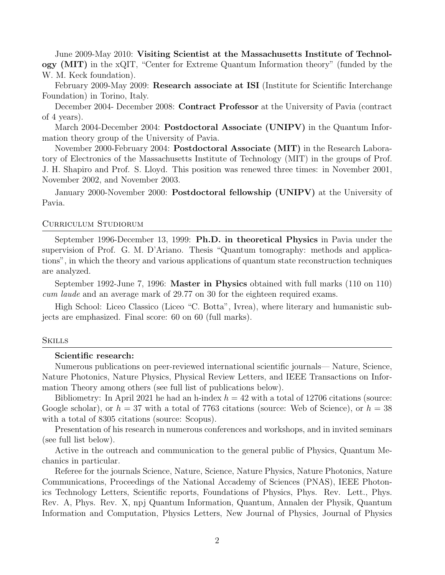June 2009-May 2010: Visiting Scientist at the Massachusetts Institute of Technology (MIT) in the xQIT, "Center for Extreme Quantum Information theory" (funded by the W. M. Keck foundation).

February 2009-May 2009: Research associate at ISI (Institute for Scientific Interchange Foundation) in Torino, Italy.

December 2004- December 2008: Contract Professor at the University of Pavia (contract of 4 years).

March 2004-December 2004: Postdoctoral Associate (UNIPV) in the Quantum Information theory group of the University of Pavia.

November 2000-February 2004: Postdoctoral Associate (MIT) in the Research Laboratory of Electronics of the Massachusetts Institute of Technology (MIT) in the groups of Prof. J. H. Shapiro and Prof. S. Lloyd. This position was renewed three times: in November 2001, November 2002, and November 2003.

January 2000-November 2000: Postdoctoral fellowship (UNIPV) at the University of Pavia.

#### Curriculum Studiorum

September 1996-December 13, 1999: Ph.D. in theoretical Physics in Pavia under the supervision of Prof. G. M. D'Ariano. Thesis "Quantum tomography: methods and applications", in which the theory and various applications of quantum state reconstruction techniques are analyzed.

September 1992-June 7, 1996: Master in Physics obtained with full marks (110 on 110) cum laude and an average mark of 29.77 on 30 for the eighteen required exams.

High School: Liceo Classico (Liceo "C. Botta", Ivrea), where literary and humanistic subjects are emphasized. Final score: 60 on 60 (full marks).

#### **SKILLS**

#### Scientific research:

Numerous publications on peer-reviewed international scientific journals— Nature, Science, Nature Photonics, Nature Physics, Physical Review Letters, and IEEE Transactions on Information Theory among others (see full list of publications below).

Bibliometry: In April 2021 he had an h-index  $h = 42$  with a total of 12706 citations (source: Google scholar), or  $h = 37$  with a total of 7763 citations (source: Web of Science), or  $h = 38$ with a total of 8305 citations (source: Scopus).

Presentation of his research in numerous conferences and workshops, and in invited seminars (see full list below).

Active in the outreach and communication to the general public of Physics, Quantum Mechanics in particular.

Referee for the journals Science, Nature, Science, Nature Physics, Nature Photonics, Nature Communications, Proceedings of the National Accademy of Sciences (PNAS), IEEE Photonics Technology Letters, Scientific reports, Foundations of Physics, Phys. Rev. Lett., Phys. Rev. A, Phys. Rev. X, npj Quantum Information, Quantum, Annalen der Physik, Quantum Information and Computation, Physics Letters, New Journal of Physics, Journal of Physics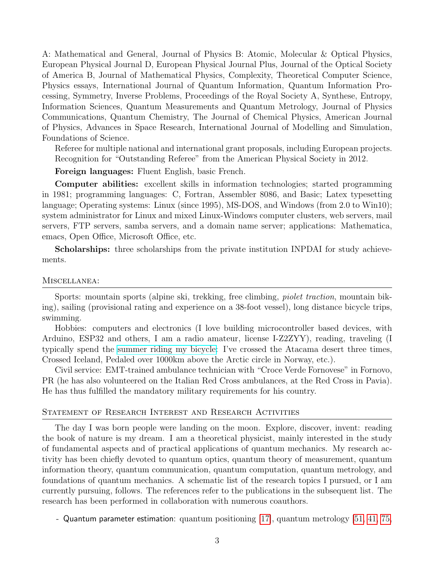A: Mathematical and General, Journal of Physics B: Atomic, Molecular & Optical Physics, European Physical Journal D, European Physical Journal Plus, Journal of the Optical Society of America B, Journal of Mathematical Physics, Complexity, Theoretical Computer Science, Physics essays, International Journal of Quantum Information, Quantum Information Processing, Symmetry, Inverse Problems, Proceedings of the Royal Society A, Synthese, Entropy, Information Sciences, Quantum Measurements and Quantum Metrology, Journal of Physics Communications, Quantum Chemistry, The Journal of Chemical Physics, American Journal of Physics, Advances in Space Research, International Journal of Modelling and Simulation, Foundations of Science.

Referee for multiple national and international grant proposals, including European projects. Recognition for "Outstanding Referee" from the American Physical Society in 2012.

Foreign languages: Fluent English, basic French.

Computer abilities: excellent skills in information technologies; started programming in 1981; programming languages: C, Fortran, Assembler 8086, and Basic; Latex typesetting language; Operating systems: Linux (since 1995), MS-DOS, and Windows (from 2.0 to Win10); system administrator for Linux and mixed Linux-Windows computer clusters, web servers, mail servers, FTP servers, samba servers, and a domain name server; applications: Mathematica, emacs, Open Office, Microsoft Office, etc.

Scholarships: three scholarships from the private institution INPDAI for study achievements.

#### MISCELLANEA:

Sports: mountain sports (alpine ski, trekking, free climbing, piolet traction, mountain biking), sailing (provisional rating and experience on a 38-foot vessel), long distance bicycle trips, swimming.

Hobbies: computers and electronics (I love building microcontroller based devices, with Arduino, ESP32 and others, I am a radio amateur, license I-Z2ZYY), reading, traveling (I typically spend the [summer riding my bicycle:](https://www.qubit.it/-macca/pamir) I've crossed the Atacama desert three times, Crossed Iceland, Pedaled over 1000km above the Arctic circle in Norway, etc.).

Civil service: EMT-trained ambulance technician with "Croce Verde Fornovese" in Fornovo, PR (he has also volunteered on the Italian Red Cross ambulances, at the Red Cross in Pavia). He has thus fulfilled the mandatory military requirements for his country.

#### Statement of Research Interest and Research Activities

The day I was born people were landing on the moon. Explore, discover, invent: reading the book of nature is my dream. I am a theoretical physicist, mainly interested in the study of fundamental aspects and of practical applications of quantum mechanics. My research activity has been chiefly devoted to quantum optics, quantum theory of measurement, quantum information theory, quantum communication, quantum computation, quantum metrology, and foundations of quantum mechanics. A schematic list of the research topics I pursued, or I am currently pursuing, follows. The references refer to the publications in the subsequent list. The research has been performed in collaboration with numerous coauthors.

- Quantum parameter estimation: quantum positioning [\[17\]](#page-5-0), quantum metrology [\[51,](#page-7-0) [41,](#page-6-0) [75,](#page-9-0)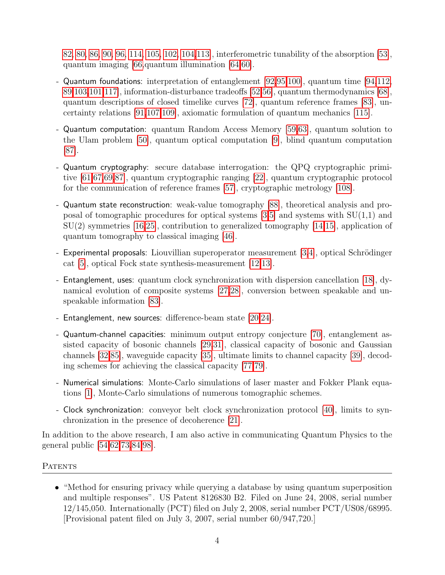[82,](#page-10-0) [80,](#page-9-1) [86,](#page-10-1) [90,](#page-10-2) [96,](#page-11-0) [114,](#page-12-0) [105,](#page-11-1) [102,](#page-11-2) [104,](#page-11-3)[113\]](#page-12-1), interferometric tunability of the absorption [\[53\]](#page-7-1), quantum imaging [\[66,](#page-8-0)quantum illumination [\[64](#page-8-1)[,60\]](#page-8-2).

- Quantum foundations: interpretation of entanglement [\[92,](#page-10-3)[95,](#page-10-4)[100\]](#page-11-4), quantum time [\[94,](#page-10-5)[112,](#page-12-2) [89,](#page-10-6)[103,](#page-11-5)[101,](#page-11-6)[117\]](#page-12-3), information-disturbance tradeoffs [\[52,](#page-7-2)[56\]](#page-8-3), quantum thermodynamics [\[68\]](#page-9-2), quantum descriptions of closed timelike curves [\[72\]](#page-9-3), quantum reference frames [\[83\]](#page-10-7), uncertainty relations [\[91,](#page-10-8)[107](#page-11-7)[,109\]](#page-11-8), axiomatic formulation of quantum mechanics [\[115\]](#page-12-4).
- Quantum computation: quantum Random Access Memory [\[59,](#page-8-4)[63\]](#page-8-5), quantum solution to the Ulam problem [\[50\]](#page-7-3), quantum optical computation [\[9\]](#page-4-0), blind quantum computation [\[87\]](#page-10-9).
- Quantum cryptography: secure database interrogation: the QPQ cryptographic primitive [\[61](#page-8-6)[,67](#page-9-4)[,69](#page-9-5)[,87\]](#page-10-9), quantum cryptographic ranging [\[22\]](#page-5-1), quantum cryptographic protocol for the communication of reference frames [\[57\]](#page-8-7), cryptographic metrology [\[108\]](#page-11-9).
- Quantum state reconstruction: weak-value tomography [\[88\]](#page-10-10), theoretical analysis and proposal of tomographic procedures for optical systems  $[3,5]$  $[3,5]$  and systems with  $SU(1,1)$  and SU(2) symmetries [\[16,](#page-5-2)[25\]](#page-5-3), contribution to generalized tomography [\[14,](#page-5-4)[15\]](#page-5-5), application of quantum tomography to classical imaging [\[46\]](#page-7-4).
- Experimental proposals: Liouvillian superoperator measurement [\[3,](#page-4-1)[4\]](#page-4-3), optical Schrödinger cat [\[5\]](#page-4-2), optical Fock state synthesis-measurement [\[12,](#page-4-4)[13\]](#page-4-5).
- Entanglement, uses: quantum clock synchronization with dispersion cancellation [\[18\]](#page-5-6), dynamical evolution of composite systems [\[27,](#page-5-7)[28\]](#page-5-8), conversion between speakable and unspeakable information [\[83\]](#page-10-7).
- Entanglement, new sources: difference-beam state [\[20,](#page-5-9)[24\]](#page-5-10).
- Quantum-channel capacities: minimum output entropy conjecture [\[70\]](#page-9-6), entanglement assisted capacity of bosonic channels [\[29](#page-5-11)[,31\]](#page-6-1), classical capacity of bosonic and Gaussian channels [\[32](#page-6-2)[,85\]](#page-10-11), waveguide capacity [\[35\]](#page-6-3), ultimate limits to channel capacity [\[39\]](#page-6-4), decoding schemes for achieving the classical capacity [\[77,](#page-9-7)[79\]](#page-9-8).
- Numerical simulations: Monte-Carlo simulations of laser master and Fokker Plank equations [\[1\]](#page-4-6), Monte-Carlo simulations of numerous tomographic schemes.
- Clock synchronization: conveyor belt clock synchronization protocol [\[40\]](#page-6-5), limits to synchronization in the presence of decoherence [\[21\]](#page-5-12).

In addition to the above research, I am also active in communicating Quantum Physics to the general public [\[54](#page-7-5)[,62](#page-8-8)[,73](#page-9-9)[,84](#page-10-12)[,98\]](#page-11-10).

# **PATENTS**

• "Method for ensuring privacy while querying a database by using quantum superposition and multiple responses". US Patent 8126830 B2. Filed on June 24, 2008, serial number 12/145,050. Internationally (PCT) filed on July 2, 2008, serial number PCT/US08/68995. [Provisional patent filed on July 3, 2007, serial number 60/947,720.]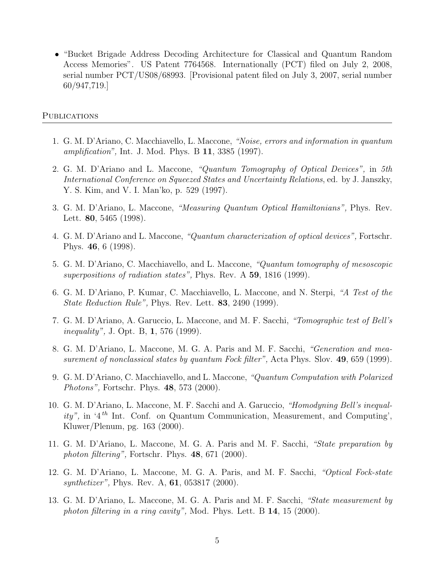• "Bucket Brigade Address Decoding Architecture for Classical and Quantum Random Access Memories". US Patent 7764568. Internationally (PCT) filed on July 2, 2008, serial number PCT/US08/68993. [Provisional patent filed on July 3, 2007, serial number 60/947,719.]

# **PUBLICATIONS**

- <span id="page-4-6"></span>1. G. M. D'Ariano, C. Macchiavello, L. Maccone, "Noise, errors and information in quantum amplification", Int. J. Mod. Phys. B 11, 3385 (1997).
- 2. G. M. D'Ariano and L. Maccone, "Quantum Tomography of Optical Devices", in 5th International Conference on Squeezed States and Uncertainty Relations, ed. by J. Janszky, Y. S. Kim, and V. I. Man'ko, p. 529 (1997).
- <span id="page-4-1"></span>3. G. M. D'Ariano, L. Maccone, "Measuring Quantum Optical Hamiltonians", Phys. Rev. Lett. **80**, 5465 (1998).
- <span id="page-4-3"></span>4. G. M. D'Ariano and L. Maccone, "Quantum characterization of optical devices", Fortschr. Phys. 46, 6 (1998).
- <span id="page-4-2"></span>5. G. M. D'Ariano, C. Macchiavello, and L. Maccone, "Quantum tomography of mesoscopic superpositions of radiation states", Phys. Rev. A 59, 1816 (1999).
- 6. G. M. D'Ariano, P. Kumar, C. Macchiavello, L. Maccone, and N. Sterpi, "A Test of the State Reduction Rule", Phys. Rev. Lett. **83**, 2490 (1999).
- 7. G. M. D'Ariano, A. Garuccio, L. Maccone, and M. F. Sacchi, "Tomographic test of Bell's inequality", J. Opt. B, 1, 576 (1999).
- 8. G. M. D'Ariano, L. Maccone, M. G. A. Paris and M. F. Sacchi, "Generation and measurement of nonclassical states by quantum Fock filter", Acta Phys. Slov. 49, 659 (1999).
- <span id="page-4-0"></span>9. G. M. D'Ariano, C. Macchiavello, and L. Maccone, "Quantum Computation with Polarized Photons", Fortschr. Phys. 48, 573 (2000).
- 10. G. M. D'Ariano, L. Maccone, M. F. Sacchi and A. Garuccio, "Homodyning Bell's inequality", in '4<sup>th</sup> Int. Conf. on Quantum Communication, Measurement, and Computing', Kluwer/Plenum, pg. 163 (2000).
- 11. G. M. D'Ariano, L. Maccone, M. G. A. Paris and M. F. Sacchi, "State preparation by photon filtering", Fortschr. Phys. 48, 671 (2000).
- <span id="page-4-4"></span>12. G. M. D'Ariano, L. Maccone, M. G. A. Paris, and M. F. Sacchi, "Optical Fock-state synthetizer", Phys. Rev. A, 61, 053817 (2000).
- <span id="page-4-5"></span>13. G. M. D'Ariano, L. Maccone, M. G. A. Paris and M. F. Sacchi, "State measurement by photon filtering in a ring cavity", Mod. Phys. Lett. B 14, 15 (2000).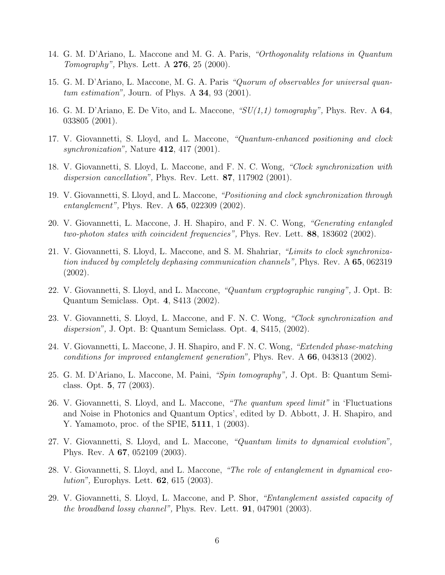- <span id="page-5-4"></span>14. G. M. D'Ariano, L. Maccone and M. G. A. Paris, "Orthogonality relations in Quantum Tomography", Phys. Lett. A 276, 25 (2000).
- <span id="page-5-5"></span>15. G. M. D'Ariano, L. Maccone, M. G. A. Paris "Quorum of observables for universal quan $tum\ estimation$ ", Journ. of Phys. A 34, 93 (2001).
- <span id="page-5-2"></span>16. G. M. D'Ariano, E. De Vito, and L. Maccone, " $SU(1,1)$  tomography", Phys. Rev. A 64, 033805 (2001).
- <span id="page-5-0"></span>17. V. Giovannetti, S. Lloyd, and L. Maccone, "Quantum-enhanced positioning and clock synchronization", Nature  $412$ ,  $417$  (2001).
- <span id="page-5-6"></span>18. V. Giovannetti, S. Lloyd, L. Maccone, and F. N. C. Wong, "Clock synchronization with dispersion cancellation", Phys. Rev. Lett.  $87$ , 117902 (2001).
- 19. V. Giovannetti, S. Lloyd, and L. Maccone, "Positioning and clock synchronization through entanglement", Phys. Rev. A **65**, 022309 (2002).
- <span id="page-5-9"></span>20. V. Giovannetti, L. Maccone, J. H. Shapiro, and F. N. C. Wong, "Generating entangled two-photon states with coincident frequencies", Phys. Rev. Lett. 88, 183602 (2002).
- <span id="page-5-12"></span>21. V. Giovannetti, S. Lloyd, L. Maccone, and S. M. Shahriar, "Limits to clock synchronization induced by completely dephasing communication channels", Phys. Rev. A 65, 062319 (2002).
- <span id="page-5-1"></span>22. V. Giovannetti, S. Lloyd, and L. Maccone, "Quantum cryptographic ranging", J. Opt. B: Quantum Semiclass. Opt. 4, S413 (2002).
- 23. V. Giovannetti, S. Lloyd, L. Maccone, and F. N. C. Wong, "Clock synchronization and dispersion", J. Opt. B: Quantum Semiclass. Opt. 4, S415, (2002).
- <span id="page-5-10"></span>24. V. Giovannetti, L. Maccone, J. H. Shapiro, and F. N. C. Wong, "Extended phase-matching conditions for improved entanglement generation", Phys. Rev.  $A \, 66$ , 043813 (2002).
- <span id="page-5-3"></span>25. G. M. D'Ariano, L. Maccone, M. Paini, "Spin tomography", J. Opt. B: Quantum Semiclass. Opt. 5, 77 (2003).
- 26. V. Giovannetti, S. Lloyd, and L. Maccone, "The quantum speed limit" in 'Fluctuations and Noise in Photonics and Quantum Optics', edited by D. Abbott, J. H. Shapiro, and Y. Yamamoto, proc. of the SPIE, 5111, 1 (2003).
- <span id="page-5-7"></span>27. V. Giovannetti, S. Lloyd, and L. Maccone, "Quantum limits to dynamical evolution", Phys. Rev. A 67, 052109 (2003).
- <span id="page-5-8"></span>28. V. Giovannetti, S. Lloyd, and L. Maccone, "The role of entanglement in dynamical evo*lution*", Europhys. Lett.  $62, 615$  (2003).
- <span id="page-5-11"></span>29. V. Giovannetti, S. Lloyd, L. Maccone, and P. Shor, "Entanglement assisted capacity of the broadband lossy channel", Phys. Rev. Lett.  $91, 047901$  (2003).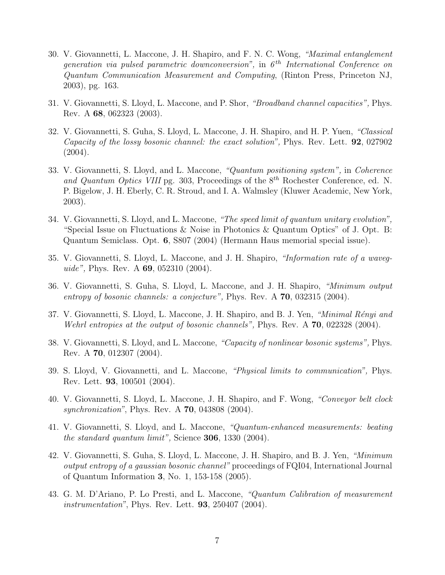- 30. V. Giovannetti, L. Maccone, J. H. Shapiro, and F. N. C. Wong, "Maximal entanglement generation via pulsed parametric downconversion", in  $6<sup>th</sup>$  International Conference on Quantum Communication Measurement and Computing, (Rinton Press, Princeton NJ, 2003), pg. 163.
- <span id="page-6-1"></span>31. V. Giovannetti, S. Lloyd, L. Maccone, and P. Shor, "Broadband channel capacities", Phys. Rev. A 68, 062323 (2003).
- <span id="page-6-2"></span>32. V. Giovannetti, S. Guha, S. Lloyd, L. Maccone, J. H. Shapiro, and H. P. Yuen, "Classical Capacity of the lossy bosonic channel: the exact solution", Phys. Rev. Lett. 92, 027902  $(2004).$
- 33. V. Giovannetti, S. Lloyd, and L. Maccone, "Quantum positioning system", in Coherence and Quantum Optics VIII pg. 303, Proceedings of the  $8^{th}$  Rochester Conference, ed. N. P. Bigelow, J. H. Eberly, C. R. Stroud, and I. A. Walmsley (Kluwer Academic, New York, 2003).
- 34. V. Giovannetti, S. Lloyd, and L. Maccone, "The speed limit of quantum unitary evolution", "Special Issue on Fluctuations  $\&$  Noise in Photonics  $\&$  Quantum Optics" of J. Opt. B: Quantum Semiclass. Opt. 6, S807 (2004) (Hermann Haus memorial special issue).
- <span id="page-6-3"></span>35. V. Giovannetti, S. Lloyd, L. Maccone, and J. H. Shapiro, "Information rate of a waveguide", Phys. Rev. A  $69, 052310$  (2004).
- 36. V. Giovannetti, S. Guha, S. Lloyd, L. Maccone, and J. H. Shapiro, "Minimum output entropy of bosonic channels: a conjecture", Phys. Rev.  $\Lambda$  70, 032315 (2004).
- 37. V. Giovannetti, S. Lloyd, L. Maccone, J. H. Shapiro, and B. J. Yen, "Minimal Rényi and Wehrl entropies at the output of bosonic channels", Phys. Rev. A 70, 022328 (2004).
- 38. V. Giovannetti, S. Lloyd, and L. Maccone, "Capacity of nonlinear bosonic systems", Phys. Rev. A 70, 012307 (2004).
- <span id="page-6-4"></span>39. S. Lloyd, V. Giovannetti, and L. Maccone, "Physical limits to communication", Phys. Rev. Lett. 93, 100501 (2004).
- <span id="page-6-5"></span>40. V. Giovannetti, S. Lloyd, L. Maccone, J. H. Shapiro, and F. Wong, "Conveyor belt clock synchronization", Phys. Rev. A  $70, 043808$  (2004).
- <span id="page-6-0"></span>41. V. Giovannetti, S. Lloyd, and L. Maccone, "Quantum-enhanced measurements: beating the standard quantum limit", Science  $306$ , 1330 (2004).
- 42. V. Giovannetti, S. Guha, S. Lloyd, L. Maccone, J. H. Shapiro, and B. J. Yen, "Minimum output entropy of a gaussian bosonic channel" proceedings of FQI04, International Journal of Quantum Information 3, No. 1, 153-158 (2005).
- 43. G. M. D'Ariano, P. Lo Presti, and L. Maccone, "Quantum Calibration of measurement *instrumentation*", Phys. Rev. Lett. **93**,  $250407$  (2004).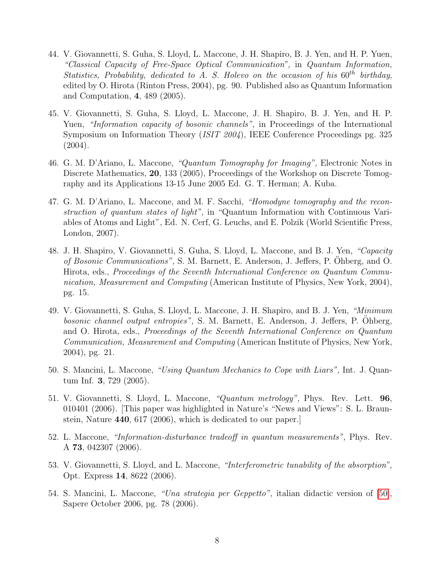- 44. V. Giovannetti, S. Guha, S. Lloyd, L. Maccone, J. H. Shapiro, B. J. Yen, and H. P. Yuen, "Classical Capacity of Free-Space Optical Communication", in Quantum Information, Statistics, Probability, dedicated to A. S. Holevo on the occasion of his  $60^{th}$  birthday, edited by O. Hirota (Rinton Press, 2004), pg. 90. Published also as Quantum Information and Computation, 4, 489 (2005).
- 45. V. Giovannetti, S. Guha, S. Lloyd, L. Maccone, J. H. Shapiro, B. J. Yen, and H. P. Yuen, *"Information capacity of bosonic channels"*, in Proceedings of the International Symposium on Information Theory (ISIT 2004), IEEE Conference Proceedings pg. 325  $(2004).$
- <span id="page-7-4"></span>46. G. M. D'Ariano, L. Maccone, "Quantum Tomography for Imaging", Electronic Notes in Discrete Mathematics, 20, 133 (2005), Proceedings of the Workshop on Discrete Tomography and its Applications 13-15 June 2005 Ed. G. T. Herman; A. Kuba.
- 47. G. M. D'Ariano, L. Maccone, and M. F. Sacchi, "Homodyne tomography and the reconstruction of quantum states of light", in "Quantum Information with Continuous Variables of Atoms and Light", Ed. N. Cerf, G. Leuchs, and E. Polzik (World Scientific Press, London, 2007).
- 48. J. H. Shapiro, V. Giovannetti, S. Guha, S. Lloyd, L. Maccone, and B. J. Yen, "Capacity of Bosonic Communications", S. M. Barnett, E. Anderson, J. Jeffers, P. Ohberg, and O. ¨ Hirota, eds., Proceedings of the Seventh International Conference on Quantum Communication, Measurement and Computing (American Institute of Physics, New York, 2004), pg. 15.
- 49. V. Giovannetti, S. Guha, S. Lloyd, L. Maccone, J. H. Shapiro, and B. J. Yen, "Minimum  $bosonic$  channel output entropies", S. M. Barnett, E. Anderson, J. Jeffers, P. Ohberg, and O. Hirota, eds., Proceedings of the Seventh International Conference on Quantum Communication, Measurement and Computing (American Institute of Physics, New York, 2004), pg. 21.
- <span id="page-7-3"></span>50. S. Mancini, L. Maccone, "Using Quantum Mechanics to Cope with Liars", Int. J. Quantum Inf. 3, 729 (2005).
- <span id="page-7-0"></span>51. V. Giovannetti, S. Lloyd, L. Maccone, "Quantum metrology", Phys. Rev. Lett. 96, 010401 (2006). [This paper was highlighted in Nature's "News and Views": S. L. Braunstein, Nature 440, 617 (2006), which is dedicated to our paper.]
- <span id="page-7-2"></span>52. L. Maccone, "Information-disturbance tradeoff in quantum measurements", Phys. Rev. A 73, 042307 (2006).
- <span id="page-7-1"></span>53. V. Giovannetti, S. Lloyd, and L. Maccone, "Interferometric tunability of the absorption", Opt. Express 14, 8622 (2006).
- <span id="page-7-5"></span>54. S. Mancini, L. Maccone, "Una strategia per Geppetto", italian didactic version of [\[50\]](#page-7-3), Sapere October 2006, pg. 78 (2006).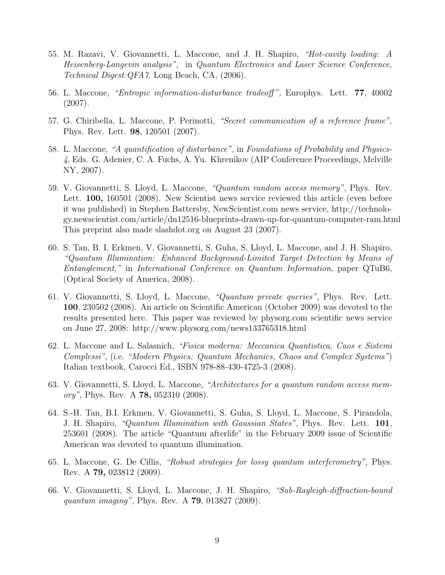- 55. M. Razavi, V. Giovannetti, L. Maccone, and J. H. Shapiro, "Hot-cavity loading: A Heisenberg-Langevin analysis", in Quantum Electronics and Laser Science Conference, Technical Digest:QFA7, Long Beach, CA, (2006).
- <span id="page-8-3"></span>56. L. Maccone, "Entropic information-disturbance tradeoff ", Europhys. Lett. 77, 40002 (2007).
- <span id="page-8-7"></span>57. G. Chiribella, L. Maccone, P. Perinotti, "Secret communication of a reference frame", Phys. Rev. Lett. 98, 120501 (2007).
- 58. L. Maccone, "A quantification of disturbance", in Foundations of Probability and Physics-4, Eds. G. Adenier, C. A. Fuchs, A. Yu. Khrenikov (AIP Conference Proceedings, Melville NY, 2007).
- <span id="page-8-4"></span>59. V. Giovannetti, S. Lloyd, L. Maccone, "Quantum random access memory", Phys. Rev. Lett. **100**, 160501 (2008). New Scientist news service reviewed this article (even before it was published) in Stephen Battersby, NewScientist.com news service, http://technology.newscientist.com/article/dn12516-blueprints-drawn-up-for-quantum-computer-ram.html This preprint also made slashdot.org on August 23 (2007).
- <span id="page-8-2"></span>60. S. Tan, B. I. Erkmen, V. Giovannetti, S. Guha, S. Lloyd, L. Maccone, and J. H. Shapiro, "Quantum Illumination: Enhanced Background-Limited Target Detection by Means of Entanglement," in International Conference on Quantum Information, paper QTuB6, (Optical Society of America, 2008).
- <span id="page-8-6"></span>61. V. Giovannetti, S. Lloyd, L. Maccone, "Quantum private queries", Phys. Rev. Lett. 100, 230502 (2008). An article on Scientific American (October 2009) was devoted to the results presented here. This paper was reviewed by physorg.com scientific news service on June 27, 2008: http://www.physorg.com/news133765318.html
- <span id="page-8-8"></span>62. L. Maccone and L. Salasnich, "Fisica moderna: Meccanica Quantistica, Caos e Sistemi Complessi", (i.e. "Modern Physics: Quantum Mechanics, Chaos and Complex Systems") Italian textbook, Carocci Ed., ISBN 978-88-430-4725-3 (2008).
- <span id="page-8-5"></span>63. V. Giovannetti, S. Lloyd, L. Maccone, "Architectures for a quantum random access memory", Phys. Rev. A **78,** 052310 (2008).
- <span id="page-8-1"></span>64. S.-H. Tan, B.I. Erkmen, V. Giovannetti, S. Guha, S. Lloyd, L. Maccone, S. Pirandola, J. H. Shapiro, "Quantum Illumination with Gaussian States", Phys. Rev. Lett. 101, 253601 (2008). The article "Quantum afterlife" in the February 2009 issue of Scientific American was devoted to quantum illumination.
- 65. L. Maccone, G. De Cillis, "Robust strategies for lossy quantum interferometry", Phys. Rev. A 79, 023812 (2009).
- <span id="page-8-0"></span>66. V. Giovannetti, S. Lloyd, L. Maccone, J. H. Shapiro, "Sub-Rayleigh-diffraction-bound quantum imaging", Phys. Rev. A  $79, 013827$  (2009).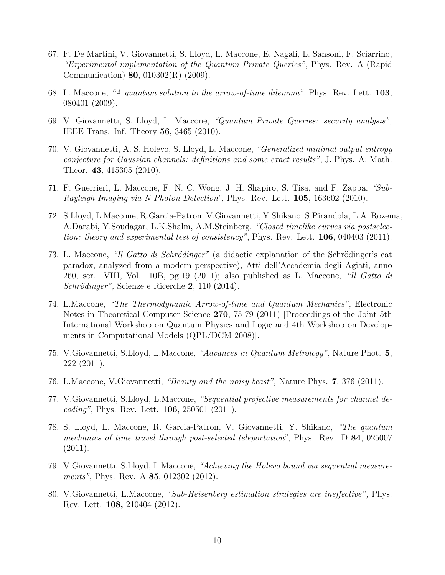- <span id="page-9-4"></span>67. F. De Martini, V. Giovannetti, S. Lloyd, L. Maccone, E. Nagali, L. Sansoni, F. Sciarrino, "Experimental implementation of the Quantum Private Queries", Phys. Rev. A (Rapid Communication) 80, 010302(R) (2009).
- <span id="page-9-2"></span>68. L. Maccone, "A quantum solution to the arrow-of-time dilemma", Phys. Rev. Lett. 103, 080401 (2009).
- <span id="page-9-5"></span>69. V. Giovannetti, S. Lloyd, L. Maccone, "Quantum Private Queries: security analysis", IEEE Trans. Inf. Theory 56, 3465 (2010).
- <span id="page-9-6"></span>70. V. Giovannetti, A. S. Holevo, S. Lloyd, L. Maccone, "Generalized minimal output entropy conjecture for Gaussian channels: definitions and some exact results", J. Phys. A: Math. Theor. 43, 415305 (2010).
- 71. F. Guerrieri, L. Maccone, F. N. C. Wong, J. H. Shapiro, S. Tisa, and F. Zappa, "Sub-Rayleigh Imaging via N-Photon Detection", Phys. Rev. Lett.  $105$ ,  $163602$  (2010).
- <span id="page-9-3"></span>72. S.Lloyd, L.Maccone, R.Garcia-Patron, V.Giovannetti, Y.Shikano, S.Pirandola, L.A. Rozema, A.Darabi, Y.Soudagar, L.K.Shalm, A.M.Steinberg, "Closed timelike curves via postselection: theory and experimental test of consistency", Phys. Rev. Lett.  $106, 040403$  (2011).
- <span id="page-9-9"></span>73. L. Maccone, "Il Gatto di Schrödinger" (a didactic explanation of the Schrödinger's cat paradox, analyzed from a modern perspective), Atti dell'Accademia degli Agiati, anno 260, ser. VIII, Vol. 10B, pg.19 (2011); also published as L. Maccone, "Il Gatto di  $Schrödinger$ ", Scienze e Ricerche 2, 110 (2014).
- 74. L.Maccone, "The Thermodynamic Arrow-of-time and Quantum Mechanics", Electronic Notes in Theoretical Computer Science 270, 75-79 (2011) [Proceedings of the Joint 5th International Workshop on Quantum Physics and Logic and 4th Workshop on Developments in Computational Models (QPL/DCM 2008)].
- <span id="page-9-0"></span>75. V.Giovannetti, S.Lloyd, L.Maccone, "Advances in Quantum Metrology", Nature Phot. 5, 222 (2011).
- 76. L.Maccone, V.Giovannetti, "Beauty and the noisy beast", Nature Phys. 7, 376 (2011).
- <span id="page-9-7"></span>77. V.Giovannetti, S.Lloyd, L.Maccone, "Sequential projective measurements for channel de $coding$ , Phys. Rev. Lett. **106**, 250501  $(2011)$ .
- 78. S. Lloyd, L. Maccone, R. Garcia-Patron, V. Giovannetti, Y. Shikano, "The quantum mechanics of time travel through post-selected teleportation", Phys. Rev. D 84, 025007 (2011).
- <span id="page-9-8"></span>79. V.Giovannetti, S.Lloyd, L.Maccone, "Achieving the Holevo bound via sequential measurements", Phys. Rev. A **85**, 012302 (2012).
- <span id="page-9-1"></span>80. V.Giovannetti, L.Maccone, "Sub-Heisenberg estimation strategies are ineffective", Phys. Rev. Lett. 108, 210404 (2012).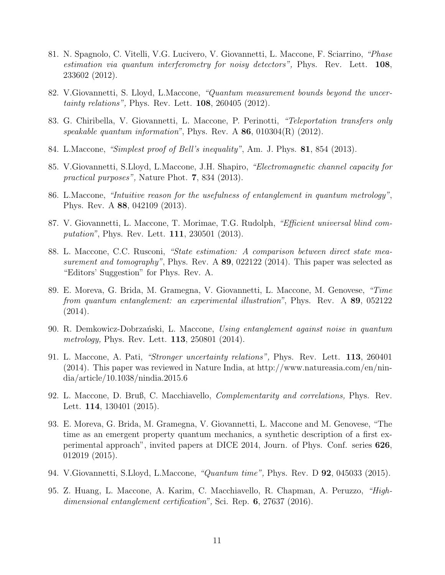- 81. N. Spagnolo, C. Vitelli, V.G. Lucivero, V. Giovannetti, L. Maccone, F. Sciarrino, "Phase estimation via quantum interferometry for noisy detectors", Phys. Rev. Lett. 108, 233602 (2012).
- <span id="page-10-0"></span>82. V.Giovannetti, S. Lloyd, L.Maccone, "Quantum measurement bounds beyond the uncer*tainty relations*", Phys. Rev. Lett.  $108$ ,  $260405$   $(2012)$ .
- <span id="page-10-7"></span>83. G. Chiribella, V. Giovannetti, L. Maccone, P. Perinotti, "Teleportation transfers only speakable quantum information", Phys. Rev. A  $86$ , 010304(R) (2012).
- <span id="page-10-12"></span>84. L.Maccone, "Simplest proof of Bell's inequality", Am. J. Phys. 81, 854 (2013).
- <span id="page-10-11"></span>85. V.Giovannetti, S.Lloyd, L.Maccone, J.H. Shapiro, "Electromagnetic channel capacity for practical purposes", Nature Phot. 7, 834 (2013).
- <span id="page-10-1"></span>86. L.Maccone, "Intuitive reason for the usefulness of entanglement in quantum metrology", Phys. Rev. A 88, 042109 (2013).
- <span id="page-10-9"></span>87. V. Giovannetti, L. Maccone, T. Morimae, T.G. Rudolph, "Efficient universal blind computation", Phys. Rev. Lett. **111**, 230501 (2013).
- <span id="page-10-10"></span>88. L. Maccone, C.C. Rusconi, "State estimation: A comparison between direct state measurement and tomography", Phys. Rev. A  $89$ , 022122 (2014). This paper was selected as "Editors' Suggestion" for Phys. Rev. A.
- <span id="page-10-6"></span>89. E. Moreva, G. Brida, M. Gramegna, V. Giovannetti, L. Maccone, M. Genovese, "Time from quantum entanglement: an experimental illustration", Phys. Rev. A 89, 052122 (2014).
- <span id="page-10-2"></span>90. R. Demkowicz-Dobrzański, L. Maccone, Using entanglement against noise in quantum metrology, Phys. Rev. Lett. **113**, 250801 (2014).
- <span id="page-10-8"></span>91. L. Maccone, A. Pati, "Stronger uncertainty relations", Phys. Rev. Lett. 113, 260401 (2014). This paper was reviewed in Nature India, at http://www.natureasia.com/en/nindia/article/10.1038/nindia.2015.6
- <span id="page-10-3"></span>92. L. Maccone, D. Bruß, C. Macchiavello, Complementarity and correlations, Phys. Rev. Lett. 114, 130401 (2015).
- 93. E. Moreva, G. Brida, M. Gramegna, V. Giovannetti, L. Maccone and M. Genovese, "The time as an emergent property quantum mechanics, a synthetic description of a first experimental approach", invited papers at DICE 2014, Journ. of Phys. Conf. series 626, 012019 (2015).
- <span id="page-10-5"></span>94. V.Giovannetti, S.Lloyd, L.Maccone, "Quantum time", Phys. Rev. D 92, 045033 (2015).
- <span id="page-10-4"></span>95. Z. Huang, L. Maccone, A. Karim, C. Macchiavello, R. Chapman, A. Peruzzo, "Highdimensional entanglement certification", Sci. Rep. 6, 27637 (2016).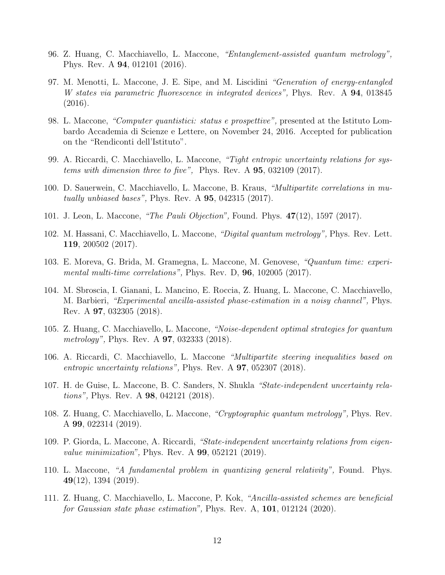- <span id="page-11-0"></span>96. Z. Huang, C. Macchiavello, L. Maccone, "Entanglement-assisted quantum metrology", Phys. Rev. A 94, 012101 (2016).
- 97. M. Menotti, L. Maccone, J. E. Sipe, and M. Liscidini "Generation of energy-entangled W states via parametric fluorescence in integrated devices", Phys. Rev. A **94**, 013845 (2016).
- <span id="page-11-10"></span>98. L. Maccone, "Computer quantistici: status e prospettive", presented at the Istituto Lombardo Accademia di Scienze e Lettere, on November 24, 2016. Accepted for publication on the "Rendiconti dell'Istituto".
- 99. A. Riccardi, C. Macchiavello, L. Maccone, "Tight entropic uncertainty relations for systems with dimension three to five", Phys. Rev. A  $95, 032109$  (2017).
- <span id="page-11-4"></span>100. D. Sauerwein, C. Macchiavello, L. Maccone, B. Kraus, "Multipartite correlations in mutually unbiased bases", Phys. Rev. A  $95$ , 042315 (2017).
- <span id="page-11-6"></span>101. J. Leon, L. Maccone, "The Pauli Objection", Found. Phys. 47(12), 1597 (2017).
- <span id="page-11-2"></span>102. M. Hassani, C. Macchiavello, L. Maccone, "Digital quantum metrology", Phys. Rev. Lett. 119, 200502 (2017).
- <span id="page-11-5"></span>103. E. Moreva, G. Brida, M. Gramegna, L. Maccone, M. Genovese, "Quantum time: experimental multi-time correlations", Phys. Rev. D, 96, 102005 (2017).
- <span id="page-11-3"></span>104. M. Sbroscia, I. Gianani, L. Mancino, E. Roccia, Z. Huang, L. Maccone, C. Macchiavello, M. Barbieri, "Experimental ancilla-assisted phase-estimation in a noisy channel", Phys. Rev. A 97, 032305 (2018).
- <span id="page-11-1"></span>105. Z. Huang, C. Macchiavello, L. Maccone, "Noise-dependent optimal strategies for quantum *metrology*", Phys. Rev. A **97**, 032333 (2018).
- 106. A. Riccardi, C. Macchiavello, L. Maccone "Multipartite steering inequalities based on entropic uncertainty relations", Phys. Rev. A **97**, 052307 (2018).
- <span id="page-11-7"></span>107. H. de Guise, L. Maccone, B. C. Sanders, N. Shukla "State-independent uncertainty relations", Phys. Rev. A 98, 042121 (2018).
- <span id="page-11-9"></span>108. Z. Huang, C. Macchiavello, L. Maccone, "Cryptographic quantum metrology", Phys. Rev. A 99, 022314 (2019).
- <span id="page-11-8"></span>109. P. Giorda, L. Maccone, A. Riccardi, "State-independent uncertainty relations from eigenvalue minimization", Phys. Rev. A **99**, 052121 (2019).
- 110. L. Maccone, "A fundamental problem in quantizing general relativity", Found. Phys. 49(12), 1394 (2019).
- 111. Z. Huang, C. Macchiavello, L. Maccone, P. Kok, "Ancilla-assisted schemes are beneficial for Gaussian state phase estimation", Phys. Rev. A, 101, 012124 (2020).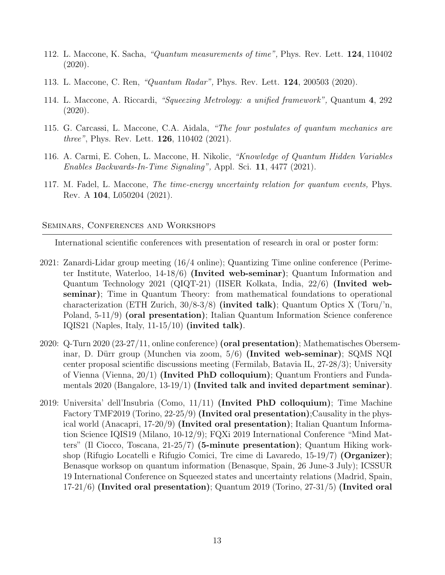- <span id="page-12-2"></span>112. L. Maccone, K. Sacha, "Quantum measurements of time", Phys. Rev. Lett. 124, 110402 (2020).
- <span id="page-12-1"></span>113. L. Maccone, C. Ren, "Quantum Radar", Phys. Rev. Lett. 124, 200503 (2020).
- <span id="page-12-0"></span>114. L. Maccone, A. Riccardi, "Squeezing Metrology: a unified framework", Quantum 4, 292 (2020).
- <span id="page-12-4"></span>115. G. Carcassi, L. Maccone, C.A. Aidala, "The four postulates of quantum mechanics are *three"*, Phys. Rev. Lett. **126**, 110402 (2021).
- 116. A. Carmi, E. Cohen, L. Maccone, H. Nikolic, "Knowledge of Quantum Hidden Variables Enables Backwards-In-Time Signaling", Appl. Sci. 11, 4477 (2021).
- <span id="page-12-3"></span>117. M. Fadel, L. Maccone, The time-energy uncertainty relation for quantum events, Phys. Rev. A 104, L050204 (2021).

Seminars, Conferences and Workshops

International scientific conferences with presentation of research in oral or poster form:

- 2021: Zanardi-Lidar group meeting (16/4 online); Quantizing Time online conference (Perimeter Institute, Waterloo, 14-18/6) (Invited web-seminar); Quantum Information and Quantum Technology 2021 (QIQT-21) (IISER Kolkata, India, 22/6) (Invited webseminar); Time in Quantum Theory: from mathematical foundations to operational characterization (ETH Zurich, 30/8-3/8) (invited talk); Quantum Optics X (Toru/'n, Poland, 5-11/9) (oral presentation); Italian Quantum Information Science conference IQIS21 (Naples, Italy, 11-15/10) (invited talk).
- 2020: Q-Turn 2020 (23-27/11, online conference) (oral presentation); Mathematisches Oberseminar, D. Dürr group (Munchen via zoom,  $5/6$ ) (Invited web-seminar); SQMS NQI center proposal scientific discussions meeting (Fermilab, Batavia IL, 27-28/3); University of Vienna (Vienna, 20/1) (Invited PhD colloquium); Quantum Frontiers and Fundamentals 2020 (Bangalore, 13-19/1) (Invited talk and invited department seminar).
- 2019: Universita' dell'Insubria (Como, 11/11) (Invited PhD colloquium); Time Machine Factory TMF2019 (Torino, 22-25/9) (Invited oral presentation); Causality in the physical world (Anacapri, 17-20/9) (Invited oral presentation); Italian Quantum Information Science IQIS19 (Milano, 10-12/9); FQXi 2019 International Conference "Mind Matters" (Il Ciocco, Toscana, 21-25/7) (5-minute presentation); Quantum Hiking workshop (Rifugio Locatelli e Rifugio Comici, Tre cime di Lavaredo, 15-19/7) (Organizer); Benasque worksop on quantum information (Benasque, Spain, 26 June-3 July); ICSSUR 19 International Conference on Squeezed states and uncertainty relations (Madrid, Spain, 17-21/6) (Invited oral presentation); Quantum 2019 (Torino, 27-31/5) (Invited oral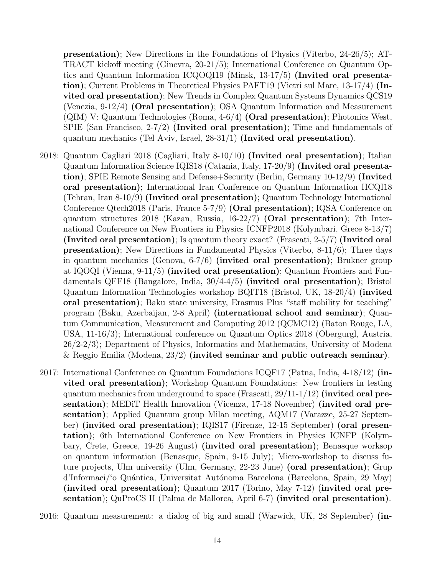presentation); New Directions in the Foundations of Physics (Viterbo, 24-26/5); AT-TRACT kickoff meeting (Ginevra, 20-21/5); International Conference on Quantum Optics and Quantum Information ICQOQI19 (Minsk, 13-17/5) (Invited oral presentation); Current Problems in Theoretical Physics PAFT19 (Vietri sul Mare, 13-17/4) (Invited oral presentation); New Trends in Complex Quantum Systems Dynamics QCS19 (Venezia, 9-12/4) (Oral presentation); OSA Quantum Information and Measurement (QIM) V: Quantum Technologies (Roma, 4-6/4) (Oral presentation); Photonics West, SPIE (San Francisco, 2-7/2) (Invited oral presentation); Time and fundamentals of quantum mechanics (Tel Aviv, Israel, 28-31/1) (Invited oral presentation).

- 2018: Quantum Cagliari 2018 (Cagliari, Italy 8-10/10) (Invited oral presentation); Italian Quantum Information Science IQIS18 (Catania, Italy, 17-20/9) (Invited oral presentation); SPIE Remote Sensing and Defense+Security (Berlin, Germany 10-12/9) (Invited oral presentation); International Iran Conference on Quantum Information IICQI18 (Tehran, Iran 8-10/9) (Invited oral presentation); Quantum Technology International Conference Qtech2018 (Paris, France 5-7/9) (Oral presentation); IQSA Conference on quantum structures 2018 (Kazan, Russia, 16-22/7) (Oral presentation); 7th International Conference on New Frontiers in Physics ICNFP2018 (Kolymbari, Grece 8-13/7) (Invited oral presentation); Is quantum theory exact? (Frascati, 2-5/7) (Invited oral presentation); New Directions in Fundamental Physics (Viterbo, 8-11/6); Three days in quantum mechanics (Genova, 6-7/6) (invited oral presentation); Brukner group at IQOQI (Vienna, 9-11/5) (invited oral presentation); Quantum Frontiers and Fundamentals QFF18 (Bangalore, India, 30/4-4/5) (invited oral presentation); Bristol Quantum Information Technologies workshop BQIT18 (Bristol, UK, 18-20/4) (invited oral presentation); Baku state university, Erasmus Plus "staff mobility for teaching" program (Baku, Azerbaijan, 2-8 April) (international school and seminar); Quantum Communication, Measurement and Computing 2012 (QCMC12) (Baton Rouge, LA, USA, 11-16/3); International conference on Quantum Optics 2018 (Obergurgl, Austria, 26/2-2/3); Department of Physics, Informatics and Mathematics, University of Modena & Reggio Emilia (Modena,  $23/2$ ) (invited seminar and public outreach seminar).
- 2017: International Conference on Quantum Foundations ICQF17 (Patna, India, 4-18/12) (invited oral presentation); Workshop Quantum Foundations: New frontiers in testing quantum mechanics from underground to space (Frascati,  $29/11-1/12$ ) (invited oral presentation); MEDiT Health Innovation (Vicenza, 17-18 November) (invited oral presentation); Applied Quantum group Milan meeting, AQM17 (Varazze, 25-27 September) (invited oral presentation); IQIS17 (Firenze, 12-15 September) (oral presentation); 6th International Conference on New Frontiers in Physics ICNFP (Kolymbary, Crete, Greece, 19-26 August) (invited oral presentation); Benasque worksop on quantum information (Benasque, Spain, 9-15 July); Micro-workshop to discuss future projects, Ulm university (Ulm, Germany, 22-23 June) (oral presentation); Grup d'Informaci/<sup>'</sup>o Quántica, Universitat Autónoma Barcelona (Barcelona, Spain, 29 May) (invited oral presentation); Quantum 2017 (Torino, May 7-12) (invited oral presentation); QuProCS II (Palma de Mallorca, April 6-7) (invited oral presentation).

2016: Quantum measurement: a dialog of big and small (Warwick, UK, 28 September) (in-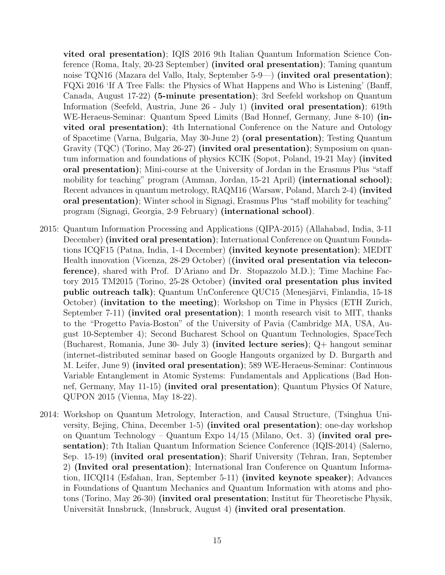vited oral presentation); IQIS 2016 9th Italian Quantum Information Science Conference (Roma, Italy, 20-23 September) (invited oral presentation); Taming quantum noise TQN16 (Mazara del Vallo, Italy, September 5-9—) (invited oral presentation); FQXi 2016 'If A Tree Falls: the Physics of What Happens and Who is Listening' (Banff, Canada, August 17-22) (5-minute presentation); 3rd Seefeld workshop on Quantum Information (Seefeld, Austria, June 26 - July 1) (invited oral presentation); 619th WE-Heraeus-Seminar: Quantum Speed Limits (Bad Honnef, Germany, June 8-10) (invited oral presentation); 4th International Conference on the Nature and Ontology of Spacetime (Varna, Bulgaria, May 30-June 2) (oral presentation); Testing Quantum Gravity (TQC) (Torino, May 26-27) **(invited oral presentation)**; Symposium on quantum information and foundations of physics KCIK (Sopot, Poland, 19-21 May) (invited oral presentation); Mini-course at the University of Jordan in the Erasmus Plus "staff mobility for teaching" program (Amman, Jordan, 15-21 April) (international school); Recent advances in quantum metrology, RAQM16 (Warsaw, Poland, March 2-4) (invited oral presentation); Winter school in Signagi, Erasmus Plus "staff mobility for teaching" program (Signagi, Georgia, 2-9 February) (international school).

- 2015: Quantum Information Processing and Applications (QIPA-2015) (Allahabad, India, 3-11 December) (invited oral presentation); International Conference on Quantum Foundations ICQF15 (Patna, India, 1-4 December) (invited keynote presentation); MEDIT Health innovation (Vicenza, 28-29 October) ((invited oral presentation via teleconference), shared with Prof. D'Ariano and Dr. Stopazzolo M.D.); Time Machine Factory 2015 TM2015 (Torino, 25-28 October) (invited oral presentation plus invited public outreach talk); Quantum UnConference QUC15 (Menesjärvi, Finlandia, 15-18 October) (invitation to the meeting); Workshop on Time in Physics (ETH Zurich, September 7-11) (invited oral presentation); 1 month research visit to MIT, thanks to the "Progetto Pavia-Boston" of the University of Pavia (Cambridge MA, USA, August 10-September 4); Second Bucharest School on Quantum Technologies, SpaceTech (Bucharest, Romania, June 30- July 3) (invited lecture series);  $Q+$  hangout seminar (internet-distributed seminar based on Google Hangouts organized by D. Burgarth and M. Leifer, June 9) (invited oral presentation); 589 WE-Heraeus-Seminar: Continuous Variable Entanglement in Atomic Systems: Fundamentals and Applications (Bad Honnef, Germany, May 11-15) (invited oral presentation); Quantum Physics Of Nature, QUPON 2015 (Vienna, May 18-22).
- 2014: Workshop on Quantum Metrology, Interaction, and Causal Structure, (Tsinghua University, Bejing, China, December 1-5) (invited oral presentation); one-day workshop on Quantum Technology – Quantum Expo 14/15 (Milano, Oct. 3) (invited oral presentation); 7th Italian Quantum Information Science Conference (IQIS-2014) (Salerno, Sep. 15-19) (invited oral presentation); Sharif University (Tehran, Iran, September 2) (Invited oral presentation); International Iran Conference on Quantum Information, IICQI14 (Esfahan, Iran, September 5-11) (invited keynote speaker); Advances in Foundations of Quantum Mechanics and Quantum Information with atoms and photons (Torino, May 26-30) (invited oral presentation; Institut für Theoretische Physik, Universität Innsbruck, (Innsbruck, August 4) (invited oral presentation.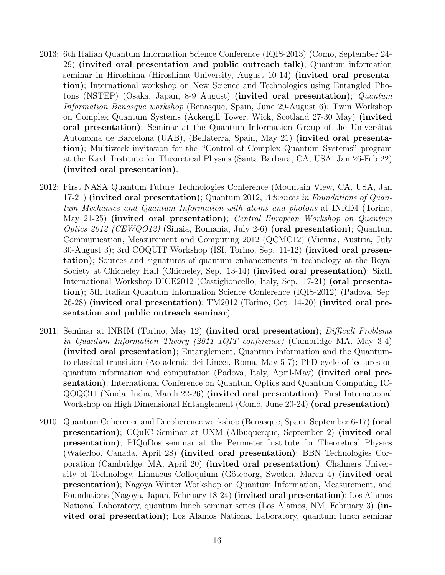- 2013: 6th Italian Quantum Information Science Conference (IQIS-2013) (Como, September 24- 29) (invited oral presentation and public outreach talk); Quantum information seminar in Hiroshima (Hiroshima University, August 10-14) (invited oral presentation); International workshop on New Science and Technologies using Entangled Photons (NSTEP) (Osaka, Japan, 8-9 August) (invited oral presentation); Quantum Information Benasque workshop (Benasque, Spain, June 29-August 6); Twin Workshop on Complex Quantum Systems (Ackergill Tower, Wick, Scotland 27-30 May) (invited oral presentation); Seminar at the Quantum Information Group of the Universitat Autonoma de Barcelona (UAB), (Bellaterra, Spain, May 21) (invited oral presentation); Multiweek invitation for the "Control of Complex Quantum Systems" program at the Kavli Institute for Theoretical Physics (Santa Barbara, CA, USA, Jan 26-Feb 22) (invited oral presentation).
- 2012: First NASA Quantum Future Technologies Conference (Mountain View, CA, USA, Jan 17-21) (invited oral presentation); Quantum 2012, Advances in Foundations of Quantum Mechanics and Quantum Information with atoms and photons at INRIM (Torino, May 21-25) (invited oral presentation); Central European Workshop on Quantum *Optics 2012 (CEWQO12)* (Sinaia, Romania, July 2-6) **(oral presentation)**; Quantum Communication, Measurement and Computing 2012 (QCMC12) (Vienna, Austria, July 30-August 3); 3rd COQUIT Workshop (ISI, Torino, Sep. 11-12) (invited oral presentation); Sources and signatures of quantum enhancements in technology at the Royal Society at Chicheley Hall (Chicheley, Sep. 13-14) (invited oral presentation); Sixth International Workshop DICE2012 (Castiglioncello, Italy, Sep. 17-21) (oral presentation); 5th Italian Quantum Information Science Conference (IQIS-2012) (Padova, Sep. 26-28) (invited oral presentation); TM2012 (Torino, Oct. 14-20) (invited oral presentation and public outreach seminar).
- 2011: Seminar at INRIM (Torino, May 12) (invited oral presentation); Difficult Problems in Quantum Information Theory (2011 xQIT conference) (Cambridge MA, May 3-4) (invited oral presentation); Entanglement, Quantum information and the Quantumto-classical transition (Accademia dei Lincei, Roma, May 5-7); PhD cycle of lectures on quantum information and computation (Padova, Italy, April-May) (invited oral presentation); International Conference on Quantum Optics and Quantum Computing IC-QOQC11 (Noida, India, March 22-26) (invited oral presentation); First International Workshop on High Dimensional Entanglement (Como, June 20-24) (**oral presentation**).
- 2010: Quantum Coherence and Decoherence workshop (Benasque, Spain, September 6-17) (oral presentation); CQuIC Seminar at UNM (Albuquerque, September 2) (invited oral presentation); PIQuDos seminar at the Perimeter Institute for Theoretical Physics (Waterloo, Canada, April 28) (invited oral presentation); BBN Technologies Corporation (Cambridge, MA, April 20) (invited oral presentation); Chalmers University of Technology, Linnaeus Colloquium (Göteborg, Sweden, March 4) (invited oral presentation); Nagoya Winter Workshop on Quantum Information, Measurement, and Foundations (Nagoya, Japan, February 18-24) (invited oral presentation); Los Alamos National Laboratory, quantum lunch seminar series (Los Alamos, NM, February 3) (invited oral presentation); Los Alamos National Laboratory, quantum lunch seminar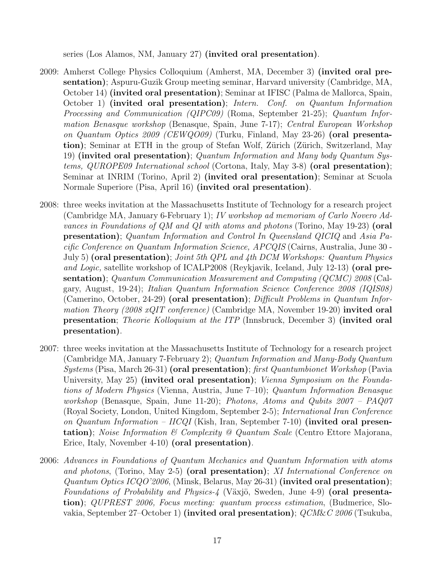series (Los Alamos, NM, January 27) (invited oral presentation).

- 2009: Amherst College Physics Colloquium (Amherst, MA, December 3) (invited oral presentation); Aspuru-Guzik Group meeting seminar, Harvard university (Cambridge, MA, October 14) (invited oral presentation); Seminar at IFISC (Palma de Mallorca, Spain, October 1) (invited oral presentation); Intern. Conf. on Quantum Information Processing and Communication (QIPC09) (Roma, September 21-25); Quantum Information Benasque workshop (Benasque, Spain, June 7-17); Central European Workshop on Quantum Optics 2009 (CEWQO09) (Turku, Finland, May 23-26) (oral presentation); Seminar at ETH in the group of Stefan Wolf, Zürich (Zürich, Switzerland, May 19) (invited oral presentation); Quantum Information and Many body Quantum Systems, *QUROPE09 International school* (Cortona, Italy, May 3-8) (**oral presentation**); Seminar at INRIM (Torino, April 2) (invited oral presentation); Seminar at Scuola Normale Superiore (Pisa, April 16) (invited oral presentation).
- 2008: three weeks invitation at the Massachusetts Institute of Technology for a research project (Cambridge MA, January 6-February 1); IV workshop ad memoriam of Carlo Novero Advances in Foundations of QM and QI with atoms and photons (Torino, May 19-23) (oral presentation); Quantum Information and Control In Queensland QICIQ and Asia Pacific Conference on Quantum Information Science, APCQIS (Cairns, Australia, June 30 - July 5) (oral presentation); *Joint 5th QPL and 4th DCM Workshops: Quantum Physics* and Logic, satellite workshop of ICALP2008 (Reykjavik, Iceland, July 12-13) (oral presentation); Quantum Communication Measurement and Computing (QCMC) 2008 (Calgary, August, 19-24); Italian Quantum Information Science Conference 2008 (IQIS08) (Camerino, October, 24-29) (oral presentation); Difficult Problems in Quantum Infor*mation Theory (2008 xQIT conference)* (Cambridge MA, November 19-20) **invited oral** presentation; Theorie Kolloquium at the ITP (Innsbruck, December 3) (invited oral presentation).
- 2007: three weeks invitation at the Massachusetts Institute of Technology for a research project (Cambridge MA, January 7-February 2); Quantum Information and Many-Body Quantum  $Systems$  (Pisa, March 26-31) (oral presentation); first Quantumbionet Workshop (Pavia University, May 25) (invited oral presentation); Vienna Symposium on the Foundations of Modern Physics (Vienna, Austria, June 7–10); Quantum Information Benasque workshop (Benasque, Spain, June 11-20); Photons, Atoms and Qubits 2007 – PAQ07 (Royal Society, London, United Kingdom, September 2-5); International Iran Conference on Quantum Information – IICQI (Kish, Iran, September 7-10) (invited oral presen**tation**); Noise Information & Complexity @ Quantum Scale (Centro Ettore Majorana, Erice, Italy, November 4-10) (oral presentation).
- 2006: Advances in Foundations of Quantum Mechanics and Quantum Information with atoms and photons, (Torino, May 2-5) (oral presentation); XI International Conference on  $Quantum Optics ICQO'2006$ , (Minsk, Belarus, May 26-31) (invited oral presentation); Foundations of Probability and Physics-4 (Växjö, Sweden, June 4-9) (oral presentation); *QUPREST 2006, Focus meeting: quantum process estimation*, *(Budmerice, Slo*vakia, September 27–October 1) (invited oral presentation); QCM&C 2006 (Tsukuba,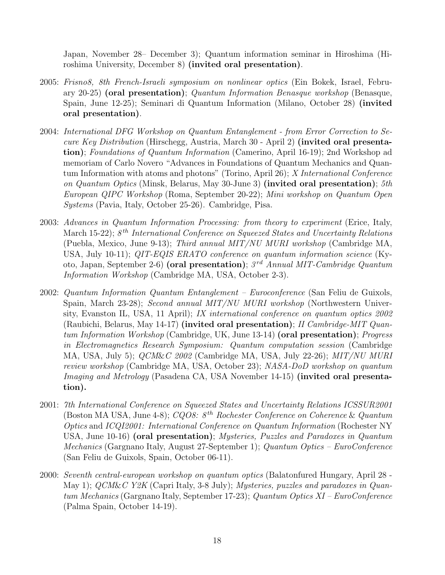Japan, November 28– December 3); Quantum information seminar in Hiroshima (Hiroshima University, December 8) (invited oral presentation).

- 2005: Frisno8, 8th French-Israeli symposium on nonlinear optics (Ein Bokek, Israel, February 20-25) (oral presentation); Quantum Information Benasque workshop (Benasque, Spain, June 12-25); Seminari di Quantum Information (Milano, October 28) (invited oral presentation).
- 2004: International DFG Workshop on Quantum Entanglement from Error Correction to Secure Key Distribution (Hirschegg, Austria, March 30 - April 2) (invited oral presentation); Foundations of Quantum Information (Camerino, April 16-19); 2nd Workshop ad memoriam of Carlo Novero "Advances in Foundations of Quantum Mechanics and Quantum Information with atoms and photons" (Torino, April 26); X International Conference on Quantum Optics (Minsk, Belarus, May 30-June 3) (invited oral presentation); 5th European QIPC Workshop (Roma, September 20-22); Mini workshop on Quantum Open Systems (Pavia, Italy, October 25-26). Cambridge, Pisa.
- 2003: Advances in Quantum Information Processing: from theory to experiment (Erice, Italy, March 15-22);  $8^{th}$  International Conference on Squeezed States and Uncertainty Relations (Puebla, Mexico, June 9-13); Third annual MIT/NU MURI workshop (Cambridge MA, USA, July 10-11); *QIT-EQIS ERATO conference on quantum information science* (Kyoto, Japan, September 2-6) (oral presentation);  $3^{rd}$  Annual MIT-Cambridge Quantum Information Workshop (Cambridge MA, USA, October 2-3).
- 2002: Quantum Information Quantum Entanglement Euroconference (San Feliu de Guixols, Spain, March 23-28); Second annual MIT/NU MURI workshop (Northwestern University, Evanston IL, USA, 11 April); IX international conference on quantum optics 2002 (Raubichi, Belarus, May 14-17) (invited oral presentation); II Cambridge-MIT Quantum Information Workshop (Cambridge, UK, June 13-14) (oral presentation); Progress in Electromagnetics Research Symposium: Quantum computation session (Cambridge MA, USA, July 5); QCM&C 2002 (Cambridge MA, USA, July 22-26); MIT/NU MURI review workshop (Cambridge MA, USA, October 23); NASA-DoD workshop on quantum Imaging and Metrology (Pasadena CA, USA November 14-15) (invited oral presentation).
- 2001: 7th International Conference on Squeezed States and Uncertainty Relations ICSSUR2001 (Boston MA USA, June 4-8);  $CQOS: S^{th}$  Rochester Conference on Coherence & Quantum Optics and ICQI2001: International Conference on Quantum Information (Rochester NY USA, June 10-16) (oral presentation); Mysteries, Puzzles and Paradoxes in Quantum Mechanics (Gargnano Italy, August 27-September 1); Quantum Optics – EuroConference (San Feliu de Guixols, Spain, October 06-11).
- 2000: Seventh central-european workshop on quantum optics (Balatonfured Hungary, April 28 May 1); *QCM&C Y2K* (Capri Italy, 3-8 July); *Mysteries, puzzles and paradoxes in Quan*tum Mechanics (Gargnano Italy, September 17-23); Quantum Optics XI – EuroConference (Palma Spain, October 14-19).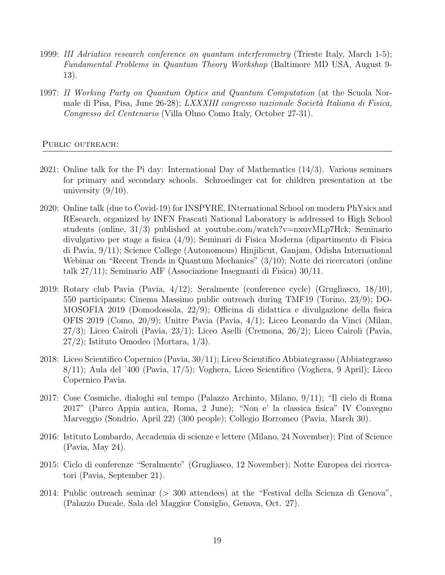- 1999: III Adriatico research conference on quantum interferometry (Trieste Italy, March 1-5); Fundamental Problems in Quantum Theory Workshop (Baltimore MD USA, August 9- 13).
- 1997: II Working Party on Quantum Optics and Quantum Computation (at the Scuola Normale di Pisa, Pisa, June 26-28); LXXXIII congresso nazionale Società Italiana di Fisica, Congresso del Centenario (Villa Olmo Como Italy, October 27-31).

# PUBLIC OUTREACH:

- 2021: Online talk for the Pi day: International Day of Mathematics (14/3). Various seminars for primary and secondary schools. Schroedinger cat for children presentation at the university  $(9/10)$ .
- 2020: Online talk (due to Covid-19) for INSPYRE, INternational School on modern PhYsics and REsearch, organized by INFN Frascati National Laboratory is addressed to High School students (online, 31/3) published at youtube.com/watch?v=nxuvMLp7Hck; Seminario divulgativo per stage a fisica (4/9); Seminari di Fisica Moderna (dipartimento di Fisica di Pavia, 9/11); Science College (Autonomous) Hinjilicut, Ganjam, Odisha International Webinar on "Recent Trends in Quantum Mechanics" (3/10); Notte dei ricercatori (online talk 27/11); Seminario AIF (Associazione Insegnanti di Fisica) 30/11.
- 2019: Rotary club Pavia (Pavia, 4/12); Seralmente (conference cycle) (Grugliasco, 18/10), 550 participants; Cinema Massimo public outreach during TMF19 (Torino, 23/9); DO-MOSOFIA 2019 (Domodossola, 22/9); Officina di didattica e divulgazione della fisica OFIS 2019 (Como, 20/9); Unitre Pavia (Pavia, 4/1); Liceo Leonardo da Vinci (Milan, 27/3); Liceo Cairoli (Pavia, 23/1); Liceo Aselli (Cremona, 26/2); Liceo Cairoli (Pavia, 27/2); Istituto Omodeo (Mortara, 1/3).
- 2018: Liceo Scientifico Copernico (Pavia, 30/11); Liceo Scientifico Abbiategrasso (Abbiategrasso 8/11); Aula del '400 (Pavia, 17/5); Voghera, Liceo Scientifico (Voghera, 9 April); Liceo Copernico Pavia.
- 2017: Cose Cosmiche, dialoghi sul tempo (Palazzo Archinto, Milano, 9/11); "Il cielo di Roma 2017" (Parco Appia antica, Roma, 2 June); "Non e' la classica fisica" IV Convegno Marveggio (Sondrio, April 22) (300 people); Collegio Borromeo (Pavia, March 30).
- 2016: Istituto Lombardo, Accademia di scienze e lettere (Milano, 24 November); Pint of Science (Pavia, May 24).
- 2015: Ciclo di conferenze "Seralmente" (Grugliasco, 12 November); Notte Europea dei ricercatori (Pavia, September 21).
- 2014: Public outreach seminar (> 300 attendees) at the "Festival della Scienza di Genova", (Palazzo Ducale, Sala del Maggior Consiglio, Genova, Oct. 27).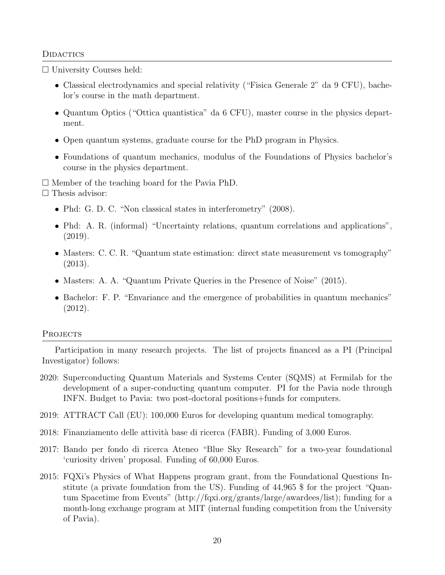# **DIDACTICS**

 $\Box$  University Courses held:

- Classical electrodynamics and special relativity ("Fisica Generale 2" da 9 CFU), bachelor's course in the math department.
- Quantum Optics ("Ottica quantistica" da 6 CFU), master course in the physics department.
- Open quantum systems, graduate course for the PhD program in Physics.
- Foundations of quantum mechanics, modulus of the Foundations of Physics bachelor's course in the physics department.

 $\Box$  Member of the teaching board for the Pavia PhD.

 $\Box$  Thesis advisor:

- Phd: G. D. C. "Non classical states in interferometry" (2008).
- Phd: A. R. (informal) "Uncertainty relations, quantum correlations and applications", (2019).
- Masters: C. C. R. "Quantum state estimation: direct state measurement vs tomography" (2013).
- Masters: A. A. "Quantum Private Queries in the Presence of Noise" (2015).
- Bachelor: F. P. "Envariance and the emergence of probabilities in quantum mechanics" (2012).

#### PROJECTS

Participation in many research projects. The list of projects financed as a PI (Principal Investigator) follows:

- 2020: Superconducting Quantum Materials and Systems Center (SQMS) at Fermilab for the development of a super-conducting quantum computer. PI for the Pavia node through INFN. Budget to Pavia: two post-doctoral positions+funds for computers.
- 2019: ATTRACT Call (EU): 100,000 Euros for developing quantum medical tomography.
- 2018: Finanziamento delle attività base di ricerca (FABR). Funding of 3,000 Euros.
- 2017: Bando per fondo di ricerca Ateneo "Blue Sky Research" for a two-year foundational 'curiosity driven' proposal. Funding of 60,000 Euros.
- 2015: FQXi's Physics of What Happens program grant, from the Foundational Questions Institute (a private foundation from the US). Funding of 44,965 \$ for the project "Quantum Spacetime from Events" (http://fqxi.org/grants/large/awardees/list); funding for a month-long exchange program at MIT (internal funding competition from the University of Pavia).